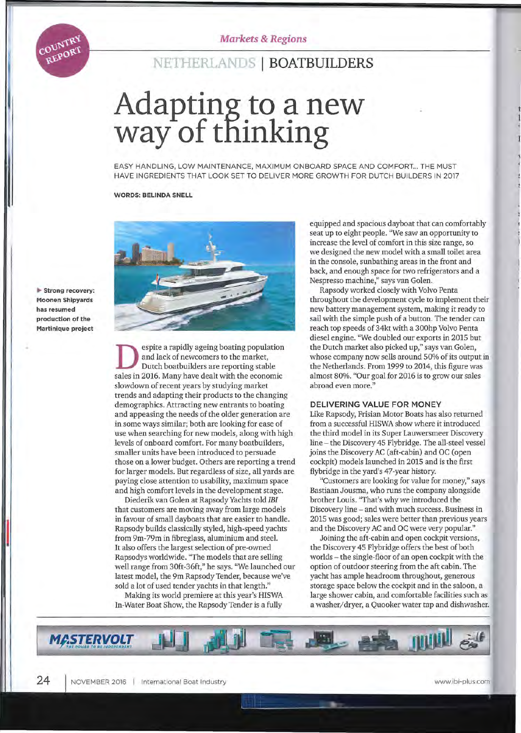# **NETHERLANDS I BOATBUILDERS**

# **Adapting to a new way of tfiinking**

EASY HANDLlNG, LOW MAINTENANCE, MAXIMUM ONBOARD SPACE AND COMFORT... THE MUST HAVE INGREDIENTS THAT LOOK SET TO DELIVER MORE GROWTH FOR DUTCH BUILDERS IN 2017

#### **WORDS: BELINDA SNELL**



~ **Strong recovery: Moonen Shipyards has resumed production of the Martinique project** 

COUNTRY REPORT

> espite a rapidly ageing boating population and lack of newcomers to the market, Dutch boatbuilders are reporting stabie sales in 2016. Many have dealt with the economic slowdown of recent years by studying market trends and adapting their products to the changing demographics. Attracting new entrants to boating and appeasing the needs of the older generation are in some ways similar; both are looking for ease of use when searching for new modeis, along with high levels of onboard comfort. For many boatbuilders, smaller units have been introduced to persuade those on a lower budget. Others are reporting a trend for larger modeis. But regardless of size, all yards are paying close attention to usability, maximum space and high comfort levels in the development stage.

> Diederik van Golen at Rapsody Yachts told *IBI*  that customers are moving away from large models in favour of small dayboats that are easier to handle. Rapsody builds classically styled, high-speed yachts from 9m-79m in fibreglass, aluminium and steel. It also offers the largest selection of pre-owned Rapsodys worldwide. "The models that are selling well range from 30ft-36ft," he says. "We launched our latest model, the 9m Rapsody Tender, because we've sold a lot of used tender yachts in that length."

Making its world premiere at this year's HISWA In-Water Boat Show, the Rapsody Tender is a fully

equipped and spacious dayboat that can comfortably seat up to eight people. "We saw an opportunity to increase the level of comfort in this size range, so we designed the new model with a small toilet area in the console, sunbathing areas in the front and back, and enough space for two refrigerators and a Nespresso machine," says van Golen.

Rapsody worked closely with Volvo Penta throughout the development cycle to implement their new battery management system, making it ready to sail with the simple push of a button. The tender can reach top speeds of 34kt with a 300hp Volvo Penta diesel engine. "We doubled our exports in 2015 but the Dutch market also picked up," says van Golen, whose company now sells around 50% of its output in the Netherlands. From 1999 to 2014, this figure was almost 80%. "Our goal for 2016 is to grow our sales abroad even more."

#### **DELIVERING VALUE FOR MONEY**

Like Rapsody, Frisian Motor Boats has also returned from a successful HISWA show where it introduced the third model in its Super Lauwersmeer Discovery line - the Discovery 45 Flybridge. The all-steel vessel joins the Discovery AC (aft-cabin) and OC (open cockpit) models launched in 2015 and is the first flybridge in the yard's 47-year history.

"Customers are looking for value for money," says Bastiaan Jousma, who runs the company alongside brother Louis. "That's why we introduced the Discovery line - and with much success. Business in 2015 was good; sales were better than previous years and the Discovery AC and OC were very popular."

Joining the aft-cabin and open cockpit versions, the Discovery 45 Flybridge offers the best of both worlds - the single-floor of an open cockpit with the option of outdoor steering from the aft cabin. The yacht has ample headroom throughout, generous storage space below the cockpit and in the saloon, a large shower cabin, and comfortable facilities such as a *washerj* dryer, a Quooker water tap and dishwasher.

**MASTERVOLT**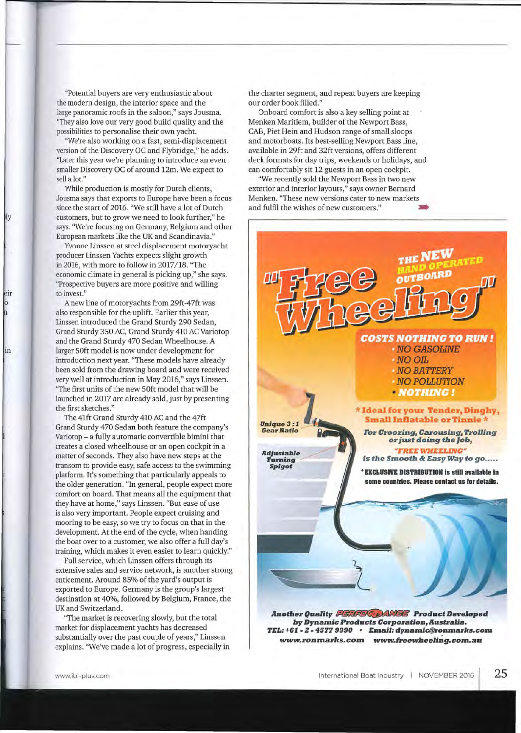"Potential buyers are very enthusiastic about the modern design, the interior space and the large panoramic roofs in the saloon," says Jousma. "They also love our very good build quality and the possibilities to personalise their own yacht.

"We're also working on a fast, semi-displacement version of the Discovery OC and Flybridge," he adds. "Later this year we're planning to introduce an even smaller Discovery OC of around 12m. We expect to sell a lot."

While production is mostly for Dutch clients, Jousma says that exports to Europe have been a focus since the start of 2016. "We still have a lot of Dutch customers, but to grow we need to look further," he says. "We're focusing on Germany, Belgium and other European markets like the UK and Scandinavia."

Иy

eir

in

Yvonne Linssen at steel displacement motoryacht producer Linssen Yachts expects slight growth in 2016, with more to follow in 2017/ 18. "The economic climate in general is picking up," she says. "Prospective buyers are more positive and willing *ta* invest."

A new line of motoryachts from 29ft-47ft was also responsible for the uplift. Earlier this year, Linssen introduced the Grand Sturdy 290 Sedan, Grand Sturdy 350 AC, Grand Sturdy 410 AC Variotop and the Grand Sturdy 470 Sedan Wheelhouse. A larger 50ft model is now under development for introduction next year. "These models have already been sold from the drawing board and were received very well at introduction in May 2016," says Linssen. "The first units of the new 50ft model that will be launched in 2017 are already sold, just by presenting the first sketches."

The 41ft Grand Sturdy 410 AC and the 47ft Grand Sturdy 470 Sedan both feature the company's Variotop - a fully automatic convertible bimini that creates a closed wheelhouse or an open cockpit in a matter of seconds. They also have new steps at the transom to provide easy, safe access to the swimming platform. It's something that particularly appeals to the older generation. "In general, people expect more comfort on board. That means all the equipment that they have at home," says Linssen. "But ease of use is also very important. People expect cruising and mooring to be easy, so we try to focus on that in the development. At the end of the cycle, when handing the boat over to a customer, we also offer a full day's training, which makes it even easier to learn quickly."

Full service, which Linssen offers through its extensive sales and service network, is another strong enticement. Around 85% of the yard's output is exported to Europe. Germany is the group's largest destination at 40%, followed by Belgium, France, the UK and Switzerland.

"The market is recovering slowly, but the total market for displacement yachts has decreased substantially over the past couple of years," Linssen explains. "We've made a lot of progress, especially in the charter segment, and repeat buyers are keeping our order book filled. "

Onboard comfort is aiso a key selling point at Menken Maritiem, builder of the Newport Bass, CAB, Piet Hein and Hudson range of small sloops and motorboats. lts best-selling Newport Bass line, available in 29ft and 32ft versions, offers different deck formats for day trips, weekends or holidays, and can comfortably sit 12 guests in an open cockpit.

"We recently sold the Newport Bass in two new exterior and interior layouts," says owner Bernard Menken. "These new versions cater to new markets and fulfil the wishes of new customers."

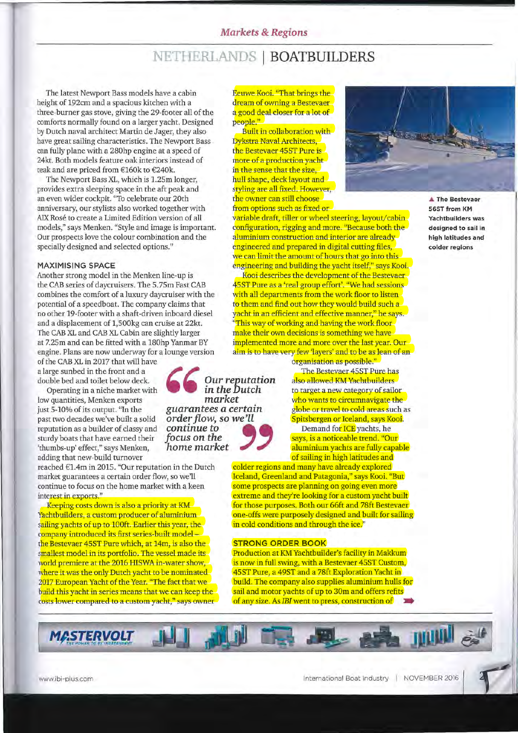### *Markets* **&** *Regions*

# **NETHERLANDS I BOATBUILDERS**

The latest Newport Bass models have a cabin height of 192cm and a spacious kitchen with a three-burner gas stove, giving the 29-footer all of the comforts normally found on a larger yacht. Designed by Dutch naval architect Martin de Jager, theyalso have great sailing characteristics. The Newport Bass can fully plane with a 280hp engine at a speed of 24kt. Both models feature oak interiors instead of teak and are priced from €160k to €240k.

The Newport Bass XL, which is 1.25m longer, provides extra sleeping space in the aft peak and an even wider cockpit. "To celebrate our 20th anniversary, our stylists also worked together with AIX Rosé to create a Limited Edition version of all modeis," says Menken. "Style and image is important. Our prospects love the colour combination and the specially designed and selected options."

#### **MAXIMISING SPACE**

Another strong model in the Menken line-up is the CAB series of daycruisers. The 5.75m Fast CAB combines the comfort of a luxury daycruiser with the potential of a speedboat. The company claims that no other 19-footer with a shaft-driven inboard diesel and a displacement of 1,500kg can cruise at 22kt. The CAB XL and CAB XL Cabin are slightly larger at 7.25m and can be fitted with a 180hp Yanmar BY engine. Plans are now underway for a lounge version

of the CAB XL in 2017 that will have a large sunbed in the front and a double bed and toilet below deck.

Operating in a niche market with low quantities, Menken exports just 5-10% of its output. "In the past two decades we've built a solid reputation as a builder of classy and sturdy boats that have earned their 'thumbs-up' effect," says Menken, adding that new-build turnover

reached €1.4m in 2015. "Our reputation in the Dutch market guarantees a certain order flow, so we'll continue to focus on the home market with a keen interest in exports."

Keeping costs down is also a priority at KM Yachtbuilders, a custom producer of aluminium sailing yachts of up to 100ft. Earlier this year, the company introduced its first series-built model the Bestevaer 45ST Pure which, at 14m, is also the smallest model in its portfolio. The vessel made its warld premiere at the 2016 HISWA in-water show, where it was the only Dutch yacht to be nominated 2017 European Yacht of the Year. "The fact that we build this yacht in series means that we can keep the costs lower compared to a custom yacht," says owner

Eeuwe Kooi. "That brings the dream of owning a Bestevaer a good deal closer for a lot of people."

Built in collaboration with Dykstra Naval Architects, the Bestevaer 45ST Pure is more of a production yacht in the sense that the size, hull shape, deck layout and styling are all fixed. However, the owner can still choose from options such as fixed or

variabie draft, tiller or wheel steering, layout/cabin configuration, rigging and more. "Because both the aluminium construction and interior are already engineered and prepared in digital cutting files, we can limit the amount of hours that go into this engineering and building the yacht itself," says Kooi.

Kooi describes the development of the Bestevaer 45ST Pure as a 'real group effort'. "We had sessions with all departments from the work floor to listen to them and find out how they would build such a yacht in an efficient and effective manner," he says. This way of working and having the work floor make their own decisions is something we have implemented more and more over the last year. Our aim is to have very few 'layers' and to be as lean of an

organisation as possible."

The Bestevaer 45ST Pure has also allowed KM Yachtbuilders to target a new category of sailor who wants to circumnavigate the globe or travel to cold areas such as Spitsbergen or Iceland, says Kooi.

Demand for ICE yachts, he says, is a noticeable trend. "Our aluminium yachts are fully capable of sailing in high latitudes and

colder regions and many have already explored Iceland, Greenland and Patagonia," says Kooi. "But some prospects are planning on going even more extreme and they're looking for a custom yacht built for those purposes. Both our 66ft and 78ft Bestevaer one-offs were purposely designed and built for sailing in cold conditions and through the ice."

#### **STRONG ORDER BOOK**

Production at KM Yachtbuilder's facility in Makkum is now in full swing, with a Bestevaer 45ST Custom, 45ST Pure, a 49ST and a 78ft Exploration Yacht in build. The company also supplies aluminium hulls for sail and motor yachts of up to 30m and offers refits of any size. As *IBI* went to press, construction of \_



**565T trom KM Yachtbuilders was designed to sail in high latitudes and colder regions** 



*market* 

*Our reputation* **in** *theDutch* 

MASTERVOLT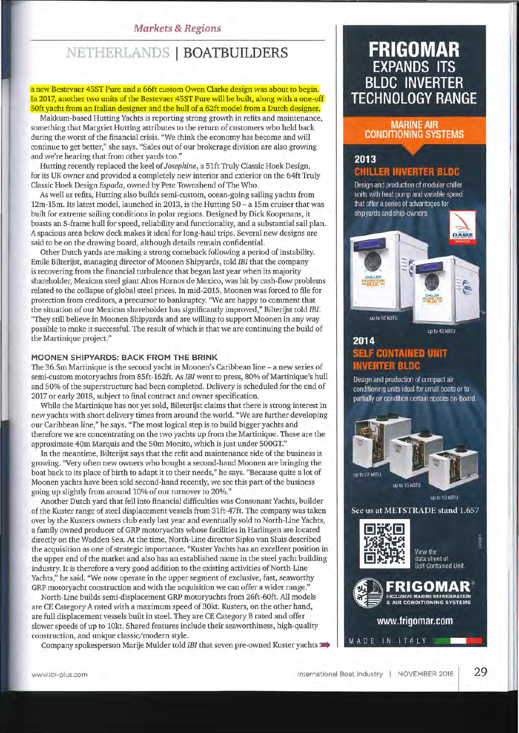### *Markets* **&** *Regions*

# **NETHERLANDS I BOATBUILDERS**

a new Bestevaer 45ST Pure and a 66ft custom Owen Clarke design was about to begin. In 2017, another two units of the Bestevaer 45ST Pure will be built, along with a one-off 50ft yacht from an Italian designer and the hull of a 62ft model from a Dutch designer.

Makkum-based Hutting Yachts is reporting strong growth in refits and maintenance, something that Margriet Hutting attributes to the return of customers who held back during the worst of the financial crisis. "We think the economy has become and will continue to get better," she says. "Sales out of our brokerage division are also growing and we're hearing that from other yards too."

Hutting recently replaced the keel of *Josephine,* a 51ft Truly Classic Hoek Design, for its UK owner and provided a completely new interior and exterior on the 64ft Truly Classic Hoek Design *Espada,* owned by Pete Townshend of The Who.

As well as refits, Hutting also builds semi-custom, ocean-going sailing yachts from 12m-15m. Its latest model, launched in 2013, is the Hutting 50 - a 15m cruiser that was built for extreme sailing conditions in polar regions. Designed by Dick Koopmans, it boasts an S-frame hull for speed, reliability and functionality, and a substantial sail plan. A spacious area below deck makes it ideal for long-haul trips. Several new designs are said to be on the drawing board, although details remain confidential.

Other Dutch yards are making a strong comeback following a period of instability. Emile Bilterijst, managing director of Moonen Shipyards, told *IBI* that the company is recovering from the financial turbulence that began last year when its majority shareholder, Mexican steel giant Altos Hornos de Mexico, was hit by cash-flow problems related to the collapse of global steel prices. In mid-2015, Moonen was forced to file for protection from creditors, a precursor to bankruptcy. "We are happy to comment that the situation of our Mexican shareholder has significantly improved," Bilterijst told *IBI.*  "They still believe in Moonen Shipyards and are willing to support Moonen in any way possible to make it successful. The result of which is that we are continuing the build of the Martinique project."

#### **MOONEN SHIPYARDS: BACK FROM THE BRINK**

The 36.5m Martinique is the second yacht in Moonen's Caribbean line - a new series of semi-custom motoryachts from 85ft-162ft. As *IBI* went to press, 80% of Martinique's hull and 50% of the superstructure had been completed. Delivery is scheduled for the end of 2017 or early 2018, subject to final contract and owner specification.

While the Martinique has not yet sold, Bileterijst claims that there is strong interest in new yachts with short delivery times from around the world. "We are further developing our Caribbean line," he says. "The most logical step is to build bigger yachts and therefore we are concentrating on the two yachts up from the Martinique. These are the approximate 40m Marquis and the SOm Monito, which is just under 500GT."

In the meantime, Bilterijst says that the refit and maintenance side of the business is growing. "Very of ten new owners who bought a second-hand Moonen are bringing the boat back to its place of birth to adapt it to their needs," he says. "Because quite a lot of Moonen yachts have been sold second-hand recently, we see this part of the business going up slightly from around 10% of our turnover to 20%."

Another Dutch yard that fell into financial difficulties was Consonant Yachts, builder ofthe Kuster range of steel displacement vessels from 31ft-47ft. The companywas taken over by the Kusters owners club early last year and eventually sold to North-Line Yachts, a family owned producer of GRP motoryachts whose facilities in Harlingen are located directly on the Wadden Sea. At the time, North-Line director Sipko van Sluis described the acquisition as one of strategic importance. "Kuster Yachts has an excellent position in the upper end of the market and also has an established name in the steel yacht building industry. It is therefore a very good addition to the existing activities of North-Line Yachts," he said. "We now operate in the upper segment of exclusive, fast, seaworthy GRP motoryacht construction and with the acquisition we can offer a wider range."

North-Line builds semi-displacement GRP motoryachts from 26ft-60ft. All models are CE Category A rated with a maximum speed of 30kt. Kusters, on the other hand, are full displacement vessels built in steel. They are CE Category B rated and offer slower speeds of up to lOkt. Shared features include their seaworthiness, high-quality construction, and unique classic/ modern style.

Company spokesperson Marije Mulder told *IBI* that seven pre-owned Kuster yachts \_

# **FRIGOMAR EXPANDS ITS BLDC INVERTER TECHNOLOGY RANGE**

### **MARINE AIR CONDITIONING SYSTEMS**

# 2013 CHILLER INVERTER BLDC

Design and production of modular chiller units with heat pump and variable speed that offer a series of advantages for shipyards and ship-owners.



## 2014 **SELF CONTAINED UNIT INVERTER BLDC**

Design and production of compact air conditioning units ideal for small boats or to partially air condition certain spaces on-board.



up to 10 KBTU

,I

See us at METSTRADE stand 1.657



View the data sheet of<br>Self Contained Unit.



MADE IN ITALY